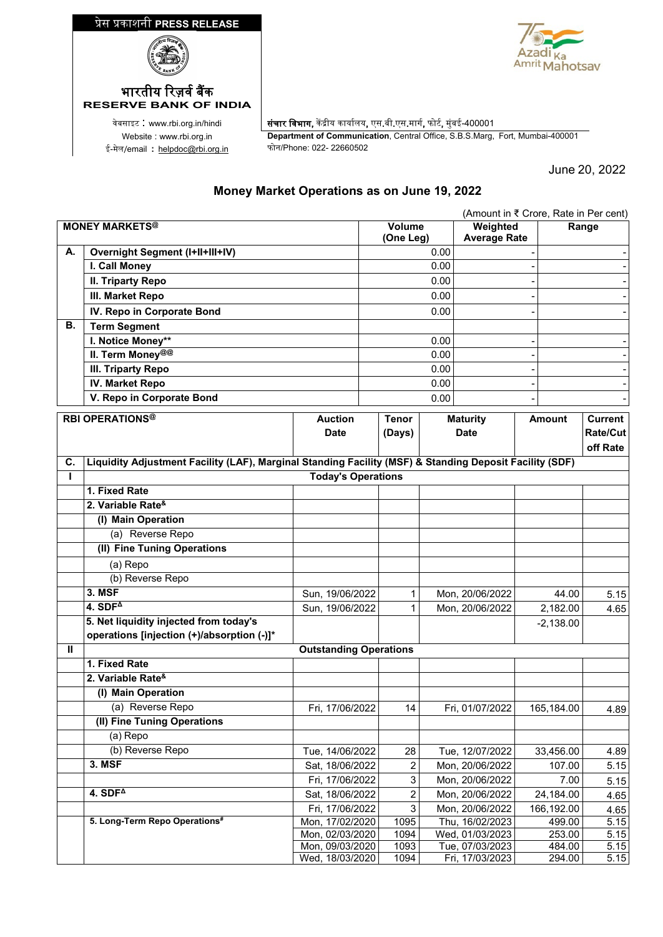## �ेस �काशनी **PRESS RELEASE**





ई-मेल/email : <u>[helpdoc@rbi.org.in](mailto:helpdoc@rbi.org.in)</u>

**RESERVE BANK OF INDIA**

वेबसाइट : www.rbi.org.in/hindi | संचार विभाग, केंद्रीय कार्यालय, एस.बी.एस.मार्ग, फोर्ट, मुंबई-400001 Website : www.rbi.org.in **Department of Communication**, Central Office, S.B.S.Marg, Fort, Mumbai-400001

June 20, 2022

## **Money Market Operations as on June 19, 2022**

|    |                                        |                     |                                 | (Amount in ₹ Crore, Rate in Per cent) |
|----|----------------------------------------|---------------------|---------------------------------|---------------------------------------|
|    | <b>MONEY MARKETS<sup>@</sup></b>       | Volume<br>(One Leg) | Weighted<br><b>Average Rate</b> | Range                                 |
| А. | <b>Overnight Segment (I+II+III+IV)</b> | 0.00                |                                 |                                       |
|    | I. Call Money                          | 0.00                |                                 |                                       |
|    | II. Triparty Repo                      | 0.00                |                                 |                                       |
|    | III. Market Repo                       | 0.00                |                                 |                                       |
|    | IV. Repo in Corporate Bond             | 0.00                |                                 |                                       |
| В. | <b>Term Segment</b>                    |                     |                                 |                                       |
|    | I. Notice Money**                      | 0.00                |                                 |                                       |
|    | II. Term Money@@                       | 0.00                |                                 |                                       |
|    | III. Triparty Repo                     | 0.00                |                                 | $\blacksquare$                        |
|    | <b>IV. Market Repo</b>                 | 0.00                |                                 | $\overline{\phantom{0}}$              |
|    | V. Repo in Corporate Bond              | 0.00                |                                 | $\blacksquare$                        |

| <b>RBI OPERATIONS®</b> |                                                                                                         | <b>Auction</b>                | <b>Tenor</b>   | <b>Maturity</b> | <b>Amount</b> | <b>Current</b> |
|------------------------|---------------------------------------------------------------------------------------------------------|-------------------------------|----------------|-----------------|---------------|----------------|
|                        |                                                                                                         | <b>Date</b>                   | (Days)         | <b>Date</b>     |               | Rate/Cut       |
|                        |                                                                                                         |                               |                |                 |               | off Rate       |
| C.                     | Liquidity Adjustment Facility (LAF), Marginal Standing Facility (MSF) & Standing Deposit Facility (SDF) |                               |                |                 |               |                |
| $\mathbf{I}$           | <b>Today's Operations</b>                                                                               |                               |                |                 |               |                |
|                        | 1. Fixed Rate                                                                                           |                               |                |                 |               |                |
|                        | 2. Variable Rate <sup>&amp;</sup>                                                                       |                               |                |                 |               |                |
|                        | (I) Main Operation                                                                                      |                               |                |                 |               |                |
|                        | (a) Reverse Repo                                                                                        |                               |                |                 |               |                |
|                        | (II) Fine Tuning Operations                                                                             |                               |                |                 |               |                |
|                        | (a) Repo                                                                                                |                               |                |                 |               |                |
|                        | (b) Reverse Repo                                                                                        |                               |                |                 |               |                |
|                        | <b>3. MSF</b>                                                                                           | Sun, 19/06/2022               | 1              | Mon, 20/06/2022 | 44.00         | 5.15           |
|                        | $4.$ SDF <sup><math>\triangle</math></sup>                                                              | Sun, 19/06/2022               | 1              | Mon, 20/06/2022 | 2,182.00      | 4.65           |
|                        | 5. Net liquidity injected from today's                                                                  |                               |                |                 | $-2,138.00$   |                |
|                        | operations [injection (+)/absorption (-)]*                                                              |                               |                |                 |               |                |
| Ш                      |                                                                                                         | <b>Outstanding Operations</b> |                |                 |               |                |
|                        | 1. Fixed Rate                                                                                           |                               |                |                 |               |                |
|                        | 2. Variable Rate <sup>&amp;</sup>                                                                       |                               |                |                 |               |                |
|                        | (I) Main Operation                                                                                      |                               |                |                 |               |                |
|                        | (a) Reverse Repo                                                                                        | Fri, 17/06/2022               | 14             | Fri, 01/07/2022 | 165,184.00    | 4.89           |
|                        | (II) Fine Tuning Operations                                                                             |                               |                |                 |               |                |
|                        | (a) Repo                                                                                                |                               |                |                 |               |                |
|                        | (b) Reverse Repo                                                                                        | Tue, 14/06/2022               | 28             | Tue, 12/07/2022 | 33,456.00     | 4.89           |
|                        | 3. MSF                                                                                                  | Sat, 18/06/2022               | 2              | Mon, 20/06/2022 | 107.00        | 5.15           |
|                        |                                                                                                         | Fri, 17/06/2022               | 3              | Mon, 20/06/2022 | 7.00          | 5.15           |
|                        | $4.$ SDF <sup><math>\triangle</math></sup>                                                              | Sat, 18/06/2022               | $\overline{c}$ | Mon, 20/06/2022 | 24,184.00     | 4.65           |
|                        |                                                                                                         | Fri, 17/06/2022               | 3              | Mon, 20/06/2022 | 166,192.00    | 4.65           |
|                        | 5. Long-Term Repo Operations#                                                                           | Mon, 17/02/2020               | 1095           | Thu, 16/02/2023 | 499.00        | 5.15           |
|                        |                                                                                                         | Mon, 02/03/2020               | 1094           | Wed, 01/03/2023 | 253.00        | 5.15           |
|                        |                                                                                                         | Mon, 09/03/2020               | 1093           | Tue, 07/03/2023 | 484.00        | 5.15           |
|                        |                                                                                                         | Wed, 18/03/2020               | 1094           | Fri, 17/03/2023 | 294.00        | 5.15           |